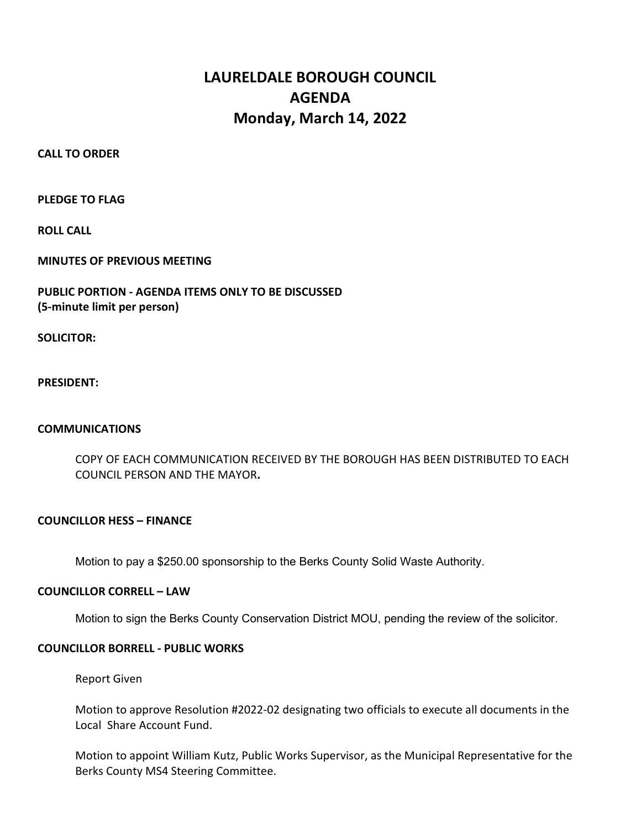# LAURELDALE BOROUGH COUNCIL AGENDA Monday, March 14, 2022

CALL TO ORDER

PLEDGE TO FLAG

ROLL CALL

MINUTES OF PREVIOUS MEETING

# PUBLIC PORTION - AGENDA ITEMS ONLY TO BE DISCUSSED (5-minute limit per person)

SOLICITOR:

PRESIDENT:

### COMMUNICATIONS

 COPY OF EACH COMMUNICATION RECEIVED BY THE BOROUGH HAS BEEN DISTRIBUTED TO EACH COUNCIL PERSON AND THE MAYOR.

### COUNCILLOR HESS – FINANCE

Motion to pay a \$250.00 sponsorship to the Berks County Solid Waste Authority.

#### COUNCILLOR CORRELL – LAW

Motion to sign the Berks County Conservation District MOU, pending the review of the solicitor.

### COUNCILLOR BORRELL - PUBLIC WORKS

Report Given

Motion to approve Resolution #2022-02 designating two officials to execute all documents in the Local Share Account Fund.

Motion to appoint William Kutz, Public Works Supervisor, as the Municipal Representative for the Berks County MS4 Steering Committee.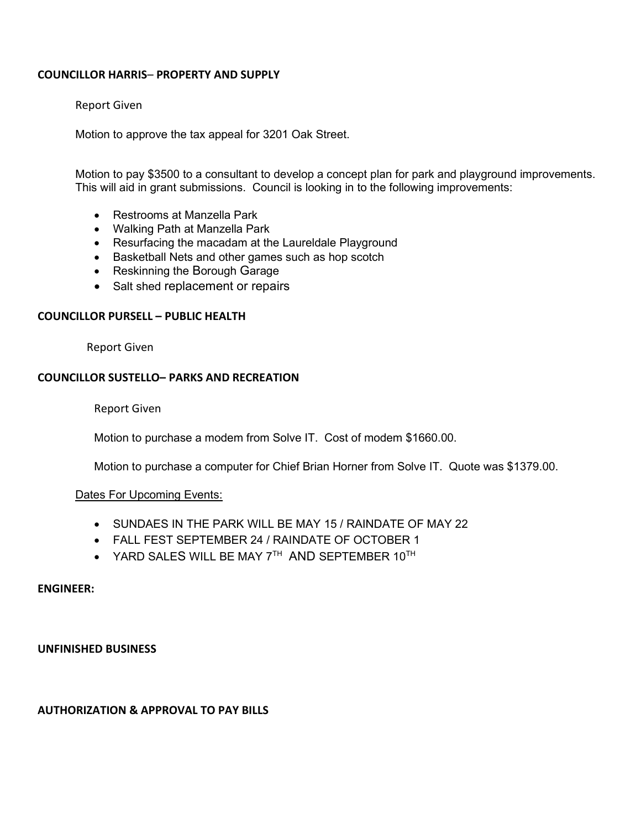## COUNCILLOR HARRIS– PROPERTY AND SUPPLY

#### Report Given

Motion to approve the tax appeal for 3201 Oak Street.

Motion to pay \$3500 to a consultant to develop a concept plan for park and playground improvements. This will aid in grant submissions. Council is looking in to the following improvements:

- Restrooms at Manzella Park
- Walking Path at Manzella Park
- Resurfacing the macadam at the Laureldale Playground
- Basketball Nets and other games such as hop scotch
- Reskinning the Borough Garage
- Salt shed replacement or repairs

### COUNCILLOR PURSELL – PUBLIC HEALTH

Report Given

### COUNCILLOR SUSTELLO– PARKS AND RECREATION

Report Given

Motion to purchase a modem from Solve IT. Cost of modem \$1660.00.

Motion to purchase a computer for Chief Brian Horner from Solve IT. Quote was \$1379.00.

### Dates For Upcoming Events:

- SUNDAES IN THE PARK WILL BE MAY 15 / RAINDATE OF MAY 22
- FALL FEST SEPTEMBER 24 / RAINDATE OF OCTOBER 1
- $\bullet$  YARD SALES WILL BE MAY  $7^{TH}$  AND SEPTEMBER  $10^{TH}$

#### ENGINEER:

#### UNFINISHED BUSINESS

## AUTHORIZATION & APPROVAL TO PAY BILLS